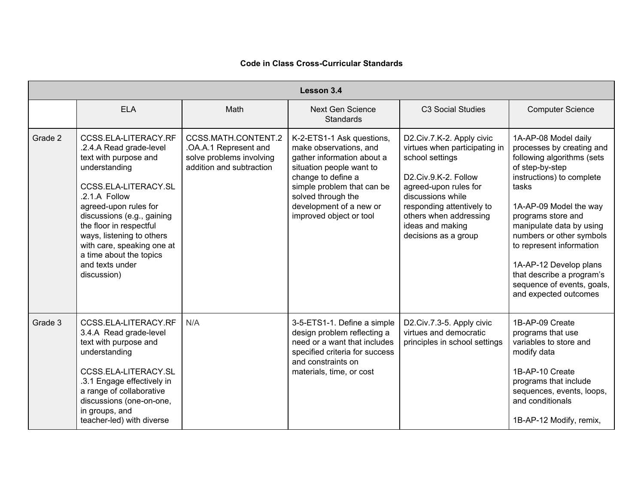| Lesson 3.4 |                                                                                                                                                                                                                                                                                                                                              |                                                                                                      |                                                                                                                                                                                                                                               |                                                                                                                                                                                                                                                        |                                                                                                                                                                                                                                                                                                                                                                                            |  |  |  |  |
|------------|----------------------------------------------------------------------------------------------------------------------------------------------------------------------------------------------------------------------------------------------------------------------------------------------------------------------------------------------|------------------------------------------------------------------------------------------------------|-----------------------------------------------------------------------------------------------------------------------------------------------------------------------------------------------------------------------------------------------|--------------------------------------------------------------------------------------------------------------------------------------------------------------------------------------------------------------------------------------------------------|--------------------------------------------------------------------------------------------------------------------------------------------------------------------------------------------------------------------------------------------------------------------------------------------------------------------------------------------------------------------------------------------|--|--|--|--|
|            | <b>ELA</b>                                                                                                                                                                                                                                                                                                                                   | Math                                                                                                 | <b>Next Gen Science</b><br>Standards                                                                                                                                                                                                          | C3 Social Studies                                                                                                                                                                                                                                      | <b>Computer Science</b>                                                                                                                                                                                                                                                                                                                                                                    |  |  |  |  |
| Grade 2    | CCSS.ELA-LITERACY.RF<br>.2.4.A Read grade-level<br>text with purpose and<br>understanding<br>CCSS.ELA-LITERACY.SL<br>.2.1.A Follow<br>agreed-upon rules for<br>discussions (e.g., gaining<br>the floor in respectful<br>ways, listening to others<br>with care, speaking one at<br>a time about the topics<br>and texts under<br>discussion) | CCSS.MATH.CONTENT.2<br>.OA.A.1 Represent and<br>solve problems involving<br>addition and subtraction | K-2-ETS1-1 Ask questions,<br>make observations, and<br>gather information about a<br>situation people want to<br>change to define a<br>simple problem that can be<br>solved through the<br>development of a new or<br>improved object or tool | D2.Civ.7.K-2. Apply civic<br>virtues when participating in<br>school settings<br>D2.Civ.9.K-2. Follow<br>agreed-upon rules for<br>discussions while<br>responding attentively to<br>others when addressing<br>ideas and making<br>decisions as a group | 1A-AP-08 Model daily<br>processes by creating and<br>following algorithms (sets<br>of step-by-step<br>instructions) to complete<br>tasks<br>1A-AP-09 Model the way<br>programs store and<br>manipulate data by using<br>numbers or other symbols<br>to represent information<br>1A-AP-12 Develop plans<br>that describe a program's<br>sequence of events, goals,<br>and expected outcomes |  |  |  |  |
| Grade 3    | CCSS.ELA-LITERACY.RF<br>3.4.A Read grade-level<br>text with purpose and<br>understanding<br>CCSS.ELA-LITERACY.SL<br>.3.1 Engage effectively in<br>a range of collaborative<br>discussions (one-on-one,<br>in groups, and<br>teacher-led) with diverse                                                                                        | N/A                                                                                                  | 3-5-ETS1-1. Define a simple<br>design problem reflecting a<br>need or a want that includes<br>specified criteria for success<br>and constraints on<br>materials, time, or cost                                                                | D2.Civ.7.3-5. Apply civic<br>virtues and democratic<br>principles in school settings                                                                                                                                                                   | 1B-AP-09 Create<br>programs that use<br>variables to store and<br>modify data<br>1B-AP-10 Create<br>programs that include<br>sequences, events, loops,<br>and conditionals<br>1B-AP-12 Modify, remix,                                                                                                                                                                                      |  |  |  |  |

## **Code in Class Cross-Curricular Standards**